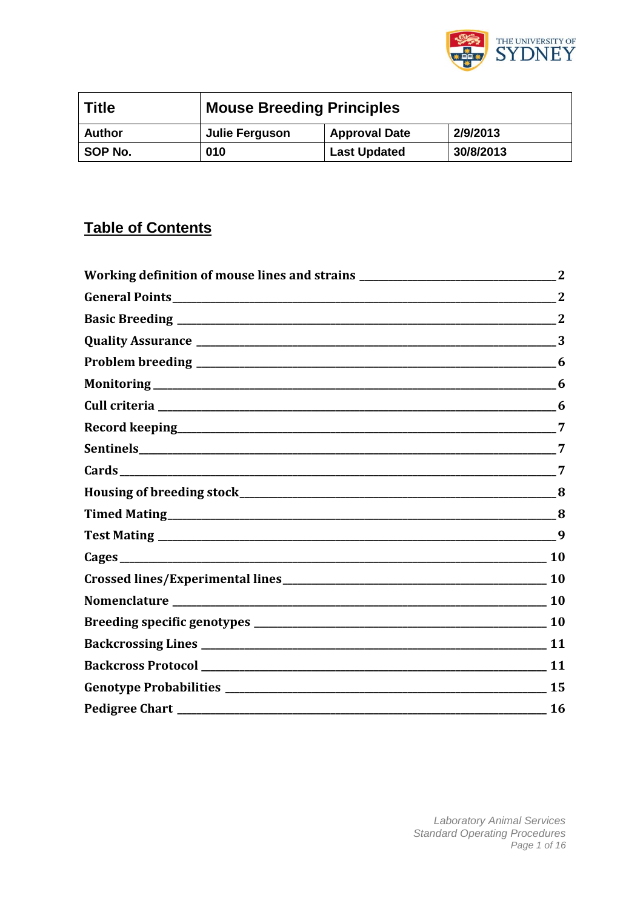

| Title         | <b>Mouse Breeding Principles</b> |                      |           |  |  |
|---------------|----------------------------------|----------------------|-----------|--|--|
| <b>Author</b> | Julie Ferguson                   | <b>Approval Date</b> | 2/9/2013  |  |  |
| SOP No.       | 010                              | <b>Last Updated</b>  | 30/8/2013 |  |  |

# **Table of Contents**

| General Points 22  |              |
|--------------------|--------------|
|                    |              |
|                    | 3            |
|                    | $\mathbf{6}$ |
|                    |              |
|                    | 6            |
|                    |              |
|                    |              |
|                    |              |
|                    |              |
|                    |              |
|                    |              |
|                    |              |
|                    |              |
| Nomenclature 10 10 |              |
|                    |              |
|                    |              |
|                    |              |
|                    | 15           |
|                    | $\sim$ 16    |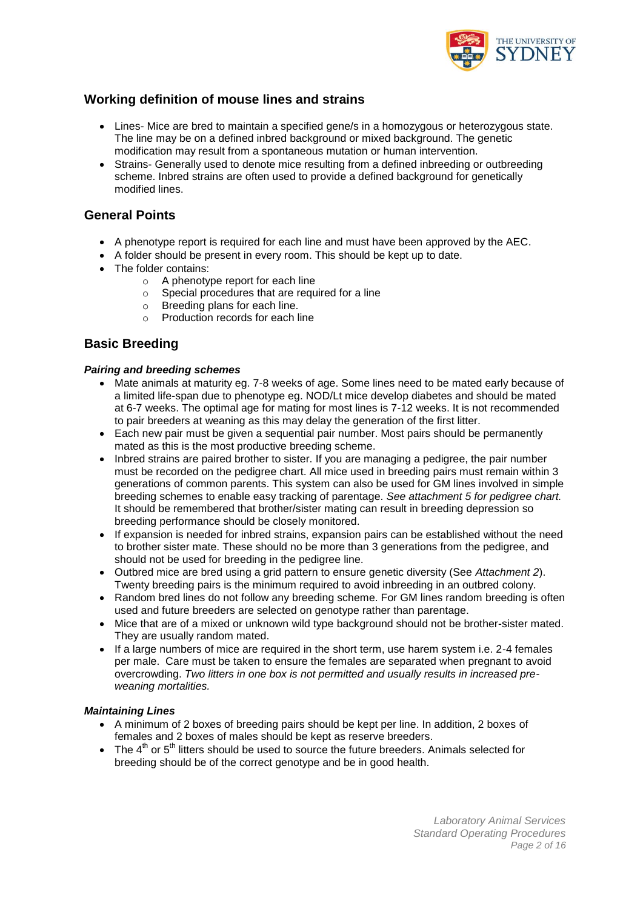

### **Working definition of mouse lines and strains**

- Lines- Mice are bred to maintain a specified gene/s in a homozygous or heterozygous state. The line may be on a defined inbred background or mixed background. The genetic modification may result from a spontaneous mutation or human intervention.
- Strains- Generally used to denote mice resulting from a defined inbreeding or outbreeding scheme. Inbred strains are often used to provide a defined background for genetically modified lines.

### **General Points**

- A phenotype report is required for each line and must have been approved by the AEC.
- A folder should be present in every room. This should be kept up to date.
- The folder contains:
	- o A phenotype report for each line
	- $\circ$  Special procedures that are required for a line
	- o Breeding plans for each line.
	- $\circ$  Production records for each line

### **Basic Breeding**

#### *Pairing and breeding schemes*

- Mate animals at maturity eg. 7-8 weeks of age. Some lines need to be mated early because of a limited life-span due to phenotype eg. NOD/Lt mice develop diabetes and should be mated at 6-7 weeks. The optimal age for mating for most lines is 7-12 weeks. It is not recommended to pair breeders at weaning as this may delay the generation of the first litter.
- Each new pair must be given a sequential pair number. Most pairs should be permanently mated as this is the most productive breeding scheme.
- Inbred strains are paired brother to sister. If you are managing a pedigree, the pair number must be recorded on the pedigree chart. All mice used in breeding pairs must remain within 3 generations of common parents. This system can also be used for GM lines involved in simple breeding schemes to enable easy tracking of parentage. *See attachment 5 for pedigree chart.* It should be remembered that brother/sister mating can result in breeding depression so breeding performance should be closely monitored.
- If expansion is needed for inbred strains, expansion pairs can be established without the need to brother sister mate. These should no be more than 3 generations from the pedigree, and should not be used for breeding in the pedigree line.
- Outbred mice are bred using a grid pattern to ensure genetic diversity (See *Attachment 2*). Twenty breeding pairs is the minimum required to avoid inbreeding in an outbred colony.
- Random bred lines do not follow any breeding scheme. For GM lines random breeding is often used and future breeders are selected on genotype rather than parentage.
- Mice that are of a mixed or unknown wild type background should not be brother-sister mated. They are usually random mated.
- If a large numbers of mice are required in the short term, use harem system i.e. 2-4 females per male. Care must be taken to ensure the females are separated when pregnant to avoid overcrowding. *Two litters in one box is not permitted and usually results in increased preweaning mortalities.*

#### *Maintaining Lines*

- A minimum of 2 boxes of breeding pairs should be kept per line. In addition, 2 boxes of females and 2 boxes of males should be kept as reserve breeders.
- $\bullet$  The 4<sup>th</sup> or 5<sup>th</sup> litters should be used to source the future breeders. Animals selected for breeding should be of the correct genotype and be in good health.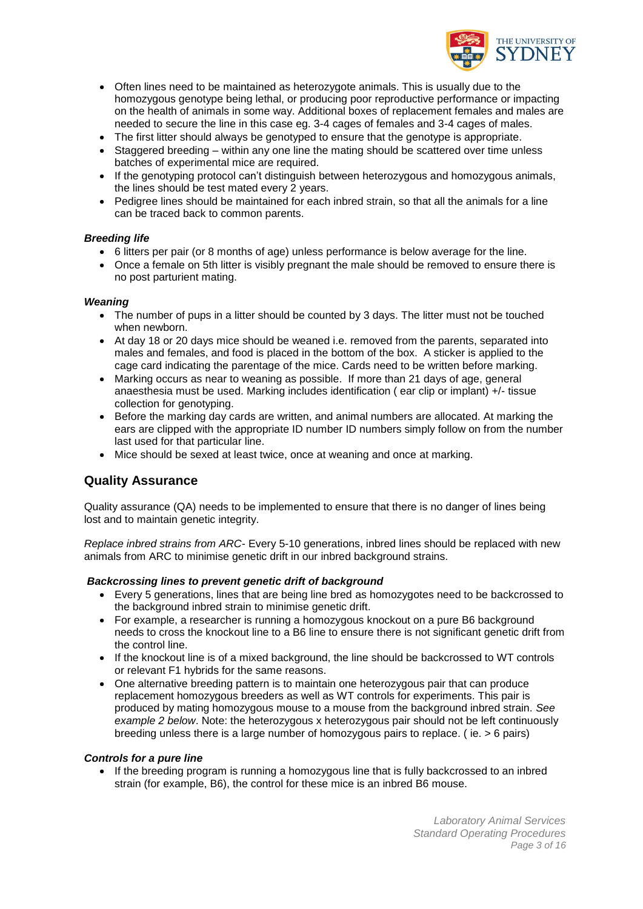

- Often lines need to be maintained as heterozygote animals. This is usually due to the homozygous genotype being lethal, or producing poor reproductive performance or impacting on the health of animals in some way. Additional boxes of replacement females and males are needed to secure the line in this case eg. 3-4 cages of females and 3-4 cages of males.
- The first litter should always be genotyped to ensure that the genotype is appropriate.
- Staggered breeding within any one line the mating should be scattered over time unless batches of experimental mice are required.
- If the genotyping protocol can't distinguish between heterozygous and homozygous animals, the lines should be test mated every 2 years.
- Pedigree lines should be maintained for each inbred strain, so that all the animals for a line can be traced back to common parents.

#### *Breeding life*

- 6 litters per pair (or 8 months of age) unless performance is below average for the line.
- Once a female on 5th litter is visibly pregnant the male should be removed to ensure there is no post parturient mating.

#### *Weaning*

- The number of pups in a litter should be counted by 3 days. The litter must not be touched when newborn.
- At day 18 or 20 days mice should be weaned i.e. removed from the parents, separated into males and females, and food is placed in the bottom of the box. A sticker is applied to the cage card indicating the parentage of the mice. Cards need to be written before marking.
- Marking occurs as near to weaning as possible. If more than 21 days of age, general anaesthesia must be used. Marking includes identification ( ear clip or implant) +/- tissue collection for genotyping.
- Before the marking day cards are written, and animal numbers are allocated. At marking the ears are clipped with the appropriate ID number ID numbers simply follow on from the number last used for that particular line.
- Mice should be sexed at least twice, once at weaning and once at marking.

### **Quality Assurance**

Quality assurance (QA) needs to be implemented to ensure that there is no danger of lines being lost and to maintain genetic integrity.

*Replace inbred strains from ARC*- Every 5-10 generations, inbred lines should be replaced with new animals from ARC to minimise genetic drift in our inbred background strains.

#### *Backcrossing lines to prevent genetic drift of background*

- Every 5 generations, lines that are being line bred as homozygotes need to be backcrossed to the background inbred strain to minimise genetic drift.
- For example, a researcher is running a homozygous knockout on a pure B6 background needs to cross the knockout line to a B6 line to ensure there is not significant genetic drift from the control line.
- If the knockout line is of a mixed background, the line should be backcrossed to WT controls or relevant F1 hybrids for the same reasons.
- One alternative breeding pattern is to maintain one heterozygous pair that can produce replacement homozygous breeders as well as WT controls for experiments. This pair is produced by mating homozygous mouse to a mouse from the background inbred strain. *See example 2 below*. Note: the heterozygous x heterozygous pair should not be left continuously breeding unless there is a large number of homozygous pairs to replace. ( ie. > 6 pairs)

#### *Controls for a pure line*

 If the breeding program is running a homozygous line that is fully backcrossed to an inbred strain (for example, B6), the control for these mice is an inbred B6 mouse.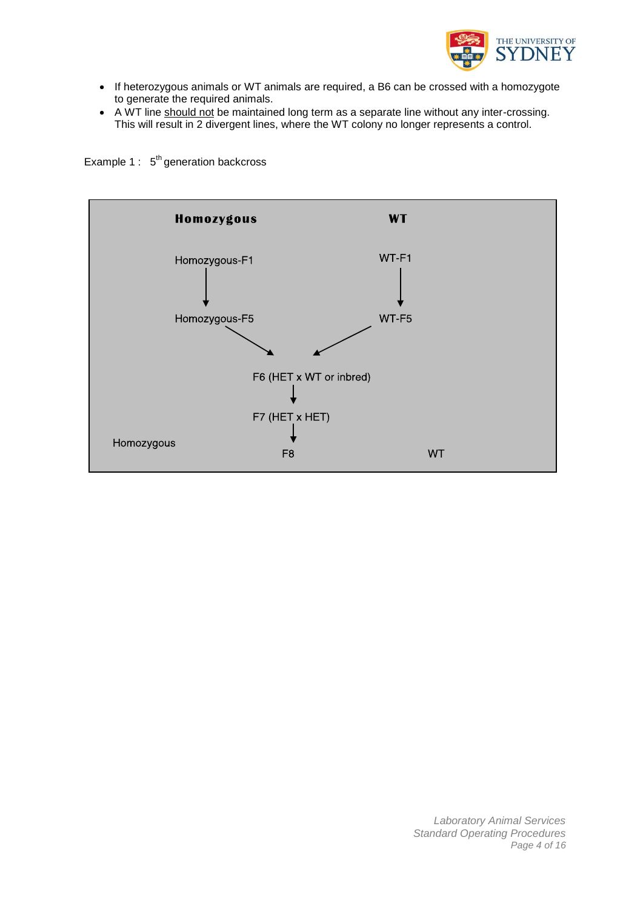

- If heterozygous animals or WT animals are required, a B6 can be crossed with a homozygote to generate the required animals.
- A WT line should not be maintained long term as a separate line without any inter-crossing. This will result in 2 divergent lines, where the WT colony no longer represents a control.

Example 1 :  $5<sup>th</sup>$  generation backcross

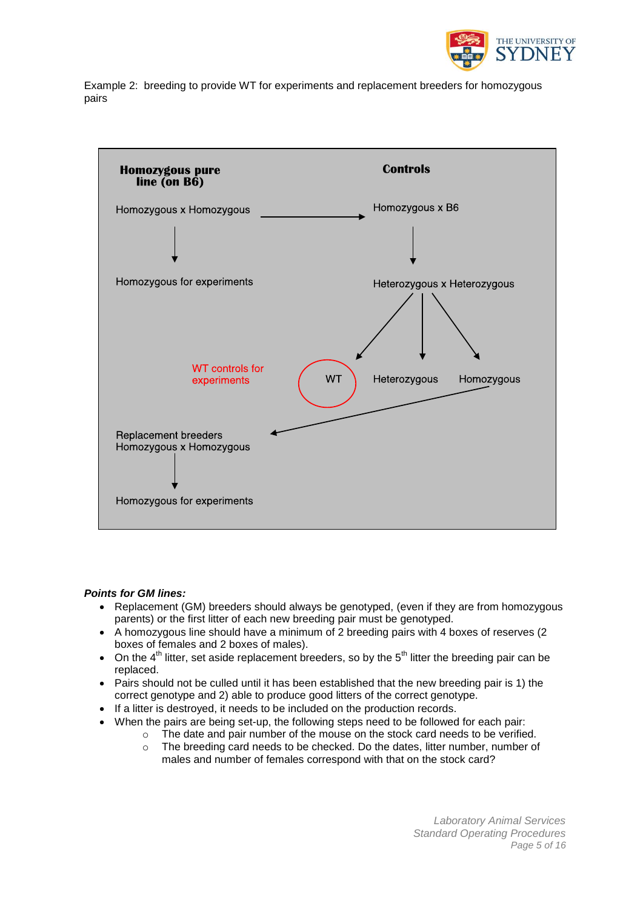

Example 2: breeding to provide WT for experiments and replacement breeders for homozygous pairs



#### *Points for GM lines:*

- Replacement (GM) breeders should always be genotyped, (even if they are from homozygous parents) or the first litter of each new breeding pair must be genotyped.
- A homozygous line should have a minimum of 2 breeding pairs with 4 boxes of reserves (2 boxes of females and 2 boxes of males).
- On the  $4<sup>th</sup>$  litter, set aside replacement breeders, so by the  $5<sup>th</sup>$  litter the breeding pair can be replaced.
- Pairs should not be culled until it has been established that the new breeding pair is 1) the correct genotype and 2) able to produce good litters of the correct genotype.
- If a litter is destroyed, it needs to be included on the production records.
- When the pairs are being set-up, the following steps need to be followed for each pair:
	- o The date and pair number of the mouse on the stock card needs to be verified.
	- o The breeding card needs to be checked. Do the dates, litter number, number of males and number of females correspond with that on the stock card?

*Laboratory Animal Services Standard Operating Procedures Page 5 of 16*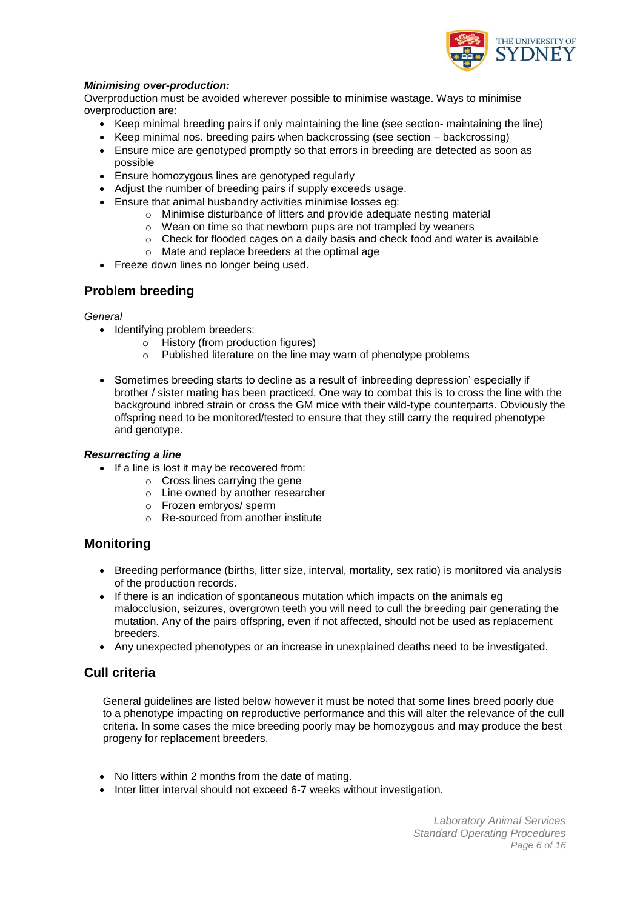

#### *Minimising over-production:*

Overproduction must be avoided wherever possible to minimise wastage. Ways to minimise overproduction are:

- Keep minimal breeding pairs if only maintaining the line (see section- maintaining the line)
- $\bullet$  Keep minimal nos. breeding pairs when backcrossing (see section  $-$  backcrossing)
- Ensure mice are genotyped promptly so that errors in breeding are detected as soon as possible
- Ensure homozygous lines are genotyped regularly
- Adjust the number of breeding pairs if supply exceeds usage.
- Ensure that animal husbandry activities minimise losses eg:
	- o Minimise disturbance of litters and provide adequate nesting material
	- o Wean on time so that newborn pups are not trampled by weaners
	- $\circ$  Check for flooded cages on a daily basis and check food and water is available
	- o Mate and replace breeders at the optimal age
- Freeze down lines no longer being used.

### **Problem breeding**

#### *General*

- Identifying problem breeders:
	- o History (from production figures)
	- o Published literature on the line may warn of phenotype problems
- Sometimes breeding starts to decline as a result of 'inbreeding depression' especially if brother / sister mating has been practiced. One way to combat this is to cross the line with the background inbred strain or cross the GM mice with their wild-type counterparts. Obviously the offspring need to be monitored/tested to ensure that they still carry the required phenotype and genotype.

#### *Resurrecting a line*

- If a line is lost it may be recovered from:
	- o Cross lines carrying the gene
	- o Line owned by another researcher
	- o Frozen embryos/ sperm
	- o Re-sourced from another institute

### **Monitoring**

- Breeding performance (births, litter size, interval, mortality, sex ratio) is monitored via analysis of the production records.
- If there is an indication of spontaneous mutation which impacts on the animals eg malocclusion, seizures, overgrown teeth you will need to cull the breeding pair generating the mutation. Any of the pairs offspring, even if not affected, should not be used as replacement breeders.
- Any unexpected phenotypes or an increase in unexplained deaths need to be investigated.

### **Cull criteria**

General guidelines are listed below however it must be noted that some lines breed poorly due to a phenotype impacting on reproductive performance and this will alter the relevance of the cull criteria. In some cases the mice breeding poorly may be homozygous and may produce the best progeny for replacement breeders.

- No litters within 2 months from the date of mating.
- Inter litter interval should not exceed 6-7 weeks without investigation.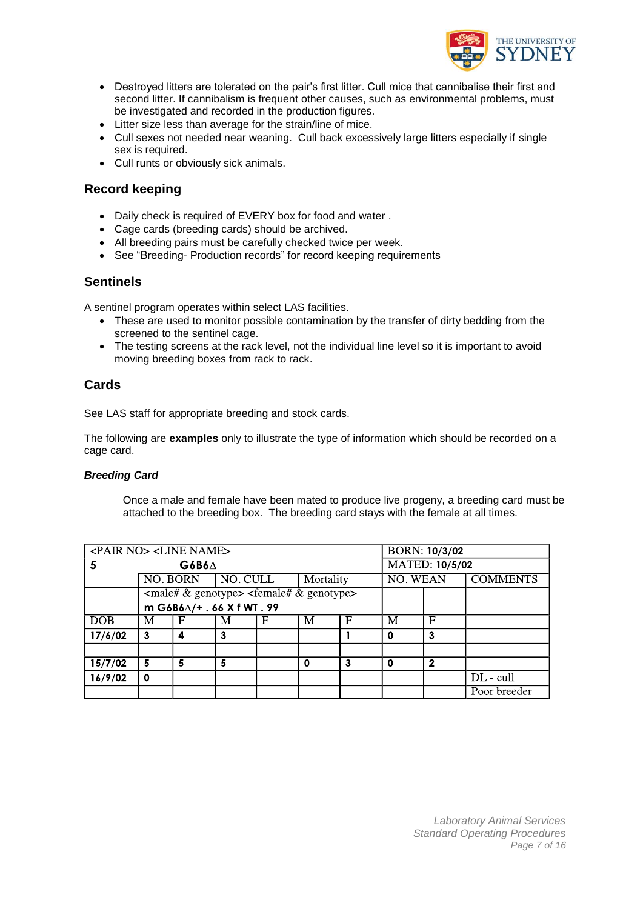

- Destroyed litters are tolerated on the pair"s first litter. Cull mice that cannibalise their first and second litter. If cannibalism is frequent other causes, such as environmental problems, must be investigated and recorded in the production figures.
- Litter size less than average for the strain/line of mice.
- Cull sexes not needed near weaning. Cull back excessively large litters especially if single sex is required.
- Cull runts or obviously sick animals.

### **Record keeping**

- Daily check is required of EVERY box for food and water .
- Cage cards (breeding cards) should be archived.
- All breeding pairs must be carefully checked twice per week.
- See "Breeding- Production records" for record keeping requirements

### **Sentinels**

A sentinel program operates within select LAS facilities.

- These are used to monitor possible contamination by the transfer of dirty bedding from the screened to the sentinel cage.
- The testing screens at the rack level, not the individual line level so it is important to avoid moving breeding boxes from rack to rack.

### **Cards**

See LAS staff for appropriate breeding and stock cards.

The following are **examples** only to illustrate the type of information which should be recorded on a cage card.

#### *Breeding Card*

Once a male and female have been mated to produce live progeny, a breeding card must be attached to the breeding box. The breeding card stays with the female at all times.

| <pair no=""> <line name=""></line></pair> |                            |          |          |                                                                                                       | <b>BORN: 10/3/02</b> |                       |                 |                |                 |
|-------------------------------------------|----------------------------|----------|----------|-------------------------------------------------------------------------------------------------------|----------------------|-----------------------|-----------------|----------------|-----------------|
| 5                                         | $G6B6\Delta$               |          |          |                                                                                                       |                      | <b>MATED: 10/5/02</b> |                 |                |                 |
|                                           |                            | NO. BORN | NO. CULL |                                                                                                       | Mortality            |                       | <b>NO. WEAN</b> |                | <b>COMMENTS</b> |
|                                           |                            |          |          | $\langle \text{male#} \& \text{genotype} \rangle$ $\langle \text{female#} \& \text{genotype} \rangle$ |                      |                       |                 |                |                 |
|                                           | m G6B6∆/+ . 66 X f WT . 99 |          |          |                                                                                                       |                      |                       |                 |                |                 |
| <b>DOB</b>                                | M                          | F        | M        | F                                                                                                     | M                    | F                     | M               | F              |                 |
| 17/6/02                                   | 3                          | 4        | 3        |                                                                                                       |                      |                       | Ω               | 3              |                 |
|                                           |                            |          |          |                                                                                                       |                      |                       |                 |                |                 |
| 15/7/02                                   | 5                          | 5        | 5        |                                                                                                       | 0                    | 3                     | 0               | $\overline{2}$ |                 |
| 16/9/02                                   | 0                          |          |          |                                                                                                       |                      |                       |                 |                | DL - cull       |
|                                           |                            |          |          |                                                                                                       |                      |                       |                 |                | Poor breeder    |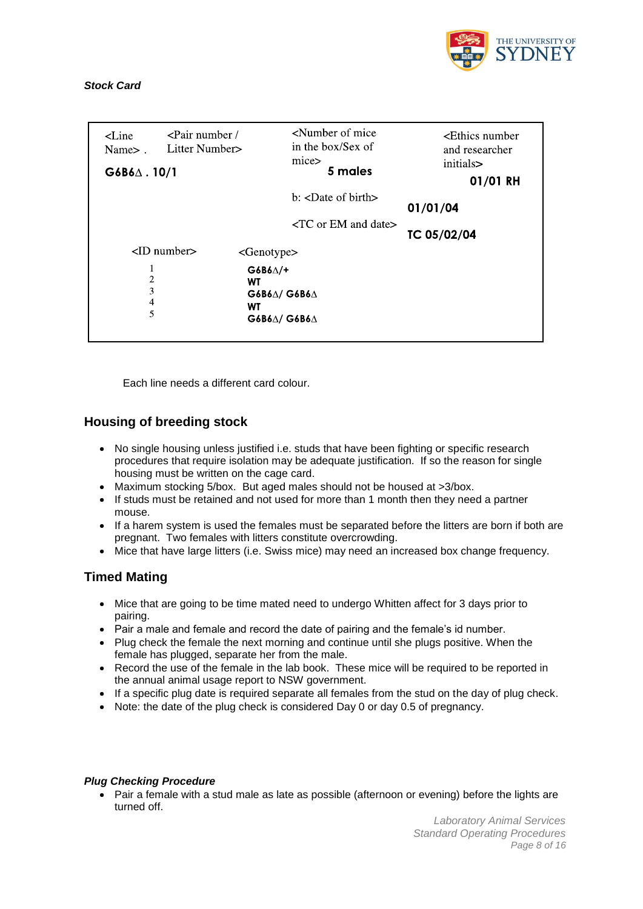

#### *Stock Card*

| $\leq$ Line<br>Name >.<br>$G6B6\Delta$ . 10/1 | $\epsilon$ Pair number /<br>Litter Number>             | <number mice<br="" of="">in the box/Sex of<br/>mice&gt;<br/>5 males</number> | <ethics number<br="">and researcher<br/>initials&gt;<br/>01/01 RH</ethics> |
|-----------------------------------------------|--------------------------------------------------------|------------------------------------------------------------------------------|----------------------------------------------------------------------------|
|                                               |                                                        | $b$ : $\langle$ Date of birth $\rangle$<br>$\langle$ TC or EM and date $>$   | 01/01/04<br>TC 05/02/04                                                    |
|                                               |                                                        |                                                                              |                                                                            |
|                                               | $\langle$ ID number $\rangle$<br><genotype></genotype> |                                                                              |                                                                            |
| 1<br>$\overline{c}$<br>3<br>4<br>5            | $G6B6\triangle/+$<br>WT<br>WT                          | $G6B6\Delta/G6B6\Delta$<br>$G6B6\triangle/$ $G6B6\triangle$                  |                                                                            |

Each line needs a different card colour.

### **Housing of breeding stock**

- No single housing unless justified i.e. studs that have been fighting or specific research procedures that require isolation may be adequate justification. If so the reason for single housing must be written on the cage card.
- Maximum stocking 5/box. But aged males should not be housed at >3/box.
- If studs must be retained and not used for more than 1 month then they need a partner mouse.
- If a harem system is used the females must be separated before the litters are born if both are pregnant. Two females with litters constitute overcrowding.
- Mice that have large litters (i.e. Swiss mice) may need an increased box change frequency.

### **Timed Mating**

- Mice that are going to be time mated need to undergo Whitten affect for 3 days prior to pairing.
- Pair a male and female and record the date of pairing and the female's id number.
- Plug check the female the next morning and continue until she plugs positive. When the female has plugged, separate her from the male.
- Record the use of the female in the lab book. These mice will be required to be reported in the annual animal usage report to NSW government.
- If a specific plug date is required separate all females from the stud on the day of plug check.
- Note: the date of the plug check is considered Day 0 or day 0.5 of pregnancy.

#### *Plug Checking Procedure*

• Pair a female with a stud male as late as possible (afternoon or evening) before the lights are turned off.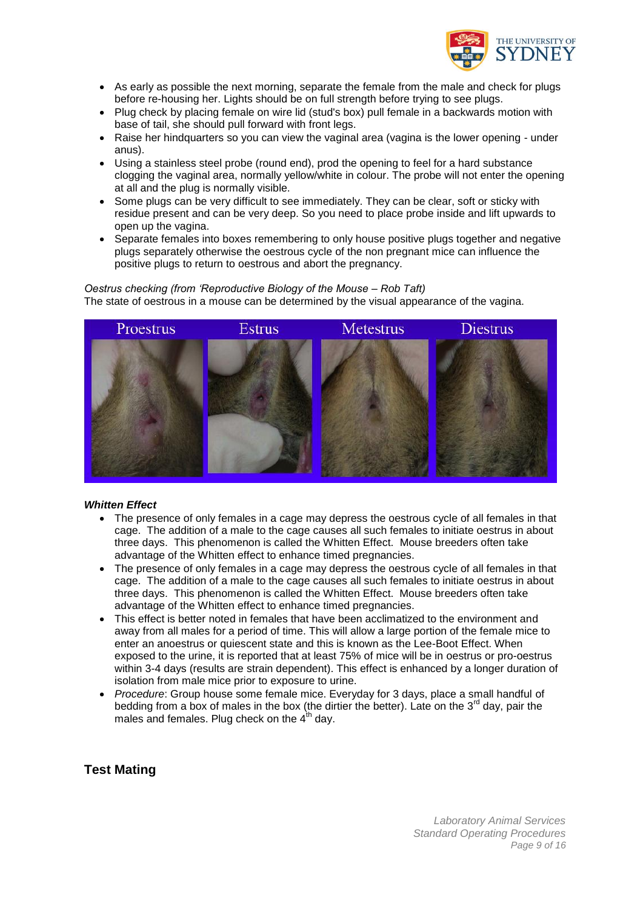

- As early as possible the next morning, separate the female from the male and check for plugs before re-housing her. Lights should be on full strength before trying to see plugs.
- Plug check by placing female on wire lid (stud's box) pull female in a backwards motion with base of tail, she should pull forward with front legs.
- Raise her hindquarters so you can view the vaginal area (vagina is the lower opening under anus).
- Using a stainless steel probe (round end), prod the opening to feel for a hard substance clogging the vaginal area, normally yellow/white in colour. The probe will not enter the opening at all and the plug is normally visible.
- Some plugs can be very difficult to see immediately. They can be clear, soft or sticky with residue present and can be very deep. So you need to place probe inside and lift upwards to open up the vagina.
- Separate females into boxes remembering to only house positive plugs together and negative plugs separately otherwise the oestrous cycle of the non pregnant mice can influence the positive plugs to return to oestrous and abort the pregnancy.

#### *Oestrus checking (from 'Reproductive Biology of the Mouse – Rob Taft)* The state of oestrous in a mouse can be determined by the visual appearance of the vagina.



#### *Whitten Effect*

- The presence of only females in a cage may depress the oestrous cycle of all females in that cage. The addition of a male to the cage causes all such females to initiate oestrus in about three days. This phenomenon is called the Whitten Effect. Mouse breeders often take advantage of the Whitten effect to enhance timed pregnancies.
- The presence of only females in a cage may depress the oestrous cycle of all females in that cage. The addition of a male to the cage causes all such females to initiate oestrus in about three days. This phenomenon is called the Whitten Effect. Mouse breeders often take advantage of the Whitten effect to enhance timed pregnancies.
- This effect is better noted in females that have been acclimatized to the environment and away from all males for a period of time. This will allow a large portion of the female mice to enter an anoestrus or quiescent state and this is known as the Lee-Boot Effect. When exposed to the urine, it is reported that at least 75% of mice will be in oestrus or pro-oestrus within 3-4 days (results are strain dependent). This effect is enhanced by a longer duration of isolation from male mice prior to exposure to urine.
- *Procedure*: Group house some female mice. Everyday for 3 days, place a small handful of bedding from a box of males in the box (the dirtier the better). Late on the 3<sup>rd</sup> day, pair the males and females. Plug check on the  $4<sup>th</sup>$  day.

### **Test Mating**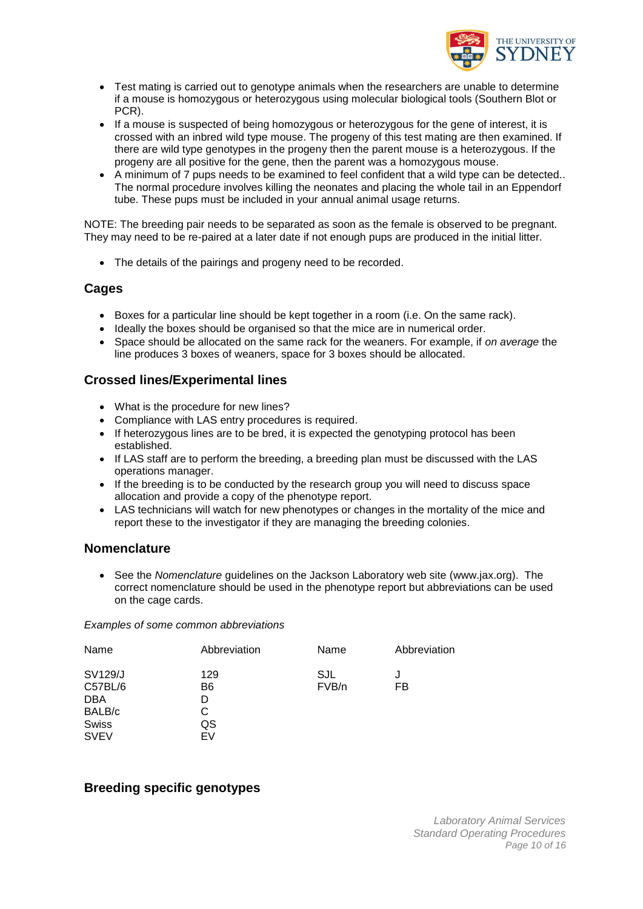

- Test mating is carried out to genotype animals when the researchers are unable to determine if a mouse is homozygous or heterozygous using molecular biological tools (Southern Blot or PCR).
- If a mouse is suspected of being homozygous or heterozygous for the gene of interest, it is crossed with an inbred wild type mouse. The progeny of this test mating are then examined. If there are wild type genotypes in the progeny then the parent mouse is a heterozygous. If the progeny are all positive for the gene, then the parent was a homozygous mouse.
- A minimum of 7 pups needs to be examined to feel confident that a wild type can be detected.. The normal procedure involves killing the neonates and placing the whole tail in an Eppendorf tube. These pups must be included in your annual animal usage returns.

NOTE: The breeding pair needs to be separated as soon as the female is observed to be pregnant. They may need to be re-paired at a later date if not enough pups are produced in the initial litter.

• The details of the pairings and progeny need to be recorded.

### **Cages**

- Boxes for a particular line should be kept together in a room (i.e. On the same rack).
- Ideally the boxes should be organised so that the mice are in numerical order.
- Space should be allocated on the same rack for the weaners. For example, if *on average* the line produces 3 boxes of weaners, space for 3 boxes should be allocated.

### **Crossed lines/Experimental lines**

- What is the procedure for new lines?
- Compliance with LAS entry procedures is required.
- If heterozygous lines are to be bred, it is expected the genotyping protocol has been established.
- If LAS staff are to perform the breeding, a breeding plan must be discussed with the LAS operations manager.
- If the breeding is to be conducted by the research group you will need to discuss space allocation and provide a copy of the phenotype report.
- LAS technicians will watch for new phenotypes or changes in the mortality of the mice and report these to the investigator if they are managing the breeding colonies.

### **Nomenclature**

 See the *Nomenclature* guidelines on the Jackson Laboratory web site (www.jax.org). The correct nomenclature should be used in the phenotype report but abbreviations can be used on the cage cards.

*Examples of some common abbreviations*

| Name                                                       | Abbreviation                          | Name         | Abbreviation |
|------------------------------------------------------------|---------------------------------------|--------------|--------------|
| SV129/J<br>C57BL/6<br><b>DBA</b><br>BALB/c<br><b>Swiss</b> | 129<br>B <sub>6</sub><br>D<br>С<br>QS | SJL<br>FVB/n | J<br>FB      |
| <b>SVEV</b>                                                | EV                                    |              |              |

### **Breeding specific genotypes**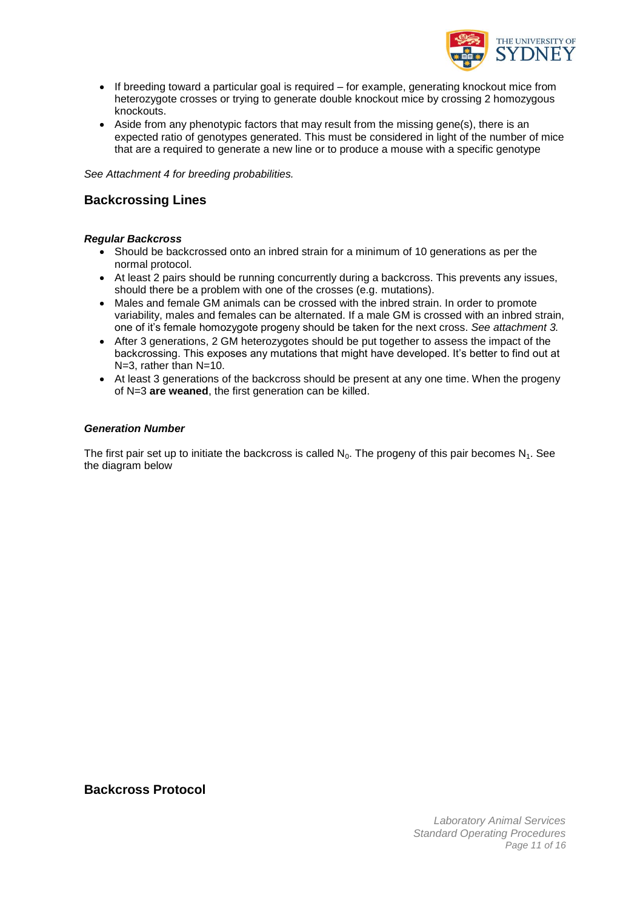

- If breeding toward a particular goal is required for example, generating knockout mice from heterozygote crosses or trying to generate double knockout mice by crossing 2 homozygous knockouts.
- Aside from any phenotypic factors that may result from the missing gene(s), there is an expected ratio of genotypes generated. This must be considered in light of the number of mice that are a required to generate a new line or to produce a mouse with a specific genotype

*See Attachment 4 for breeding probabilities.*

### **Backcrossing Lines**

#### *Regular Backcross*

- Should be backcrossed onto an inbred strain for a minimum of 10 generations as per the normal protocol.
- At least 2 pairs should be running concurrently during a backcross. This prevents any issues, should there be a problem with one of the crosses (e.g. mutations).
- Males and female GM animals can be crossed with the inbred strain. In order to promote variability, males and females can be alternated. If a male GM is crossed with an inbred strain, one of it"s female homozygote progeny should be taken for the next cross. *See attachment 3.*
- After 3 generations, 2 GM heterozygotes should be put together to assess the impact of the backcrossing. This exposes any mutations that might have developed. It"s better to find out at N=3, rather than N=10.
- At least 3 generations of the backcross should be present at any one time. When the progeny of N=3 **are weaned**, the first generation can be killed.

#### *Generation Number*

The first pair set up to initiate the backcross is called  $N_0$ . The progeny of this pair becomes  $N_1$ . See the diagram below

**Backcross Protocol**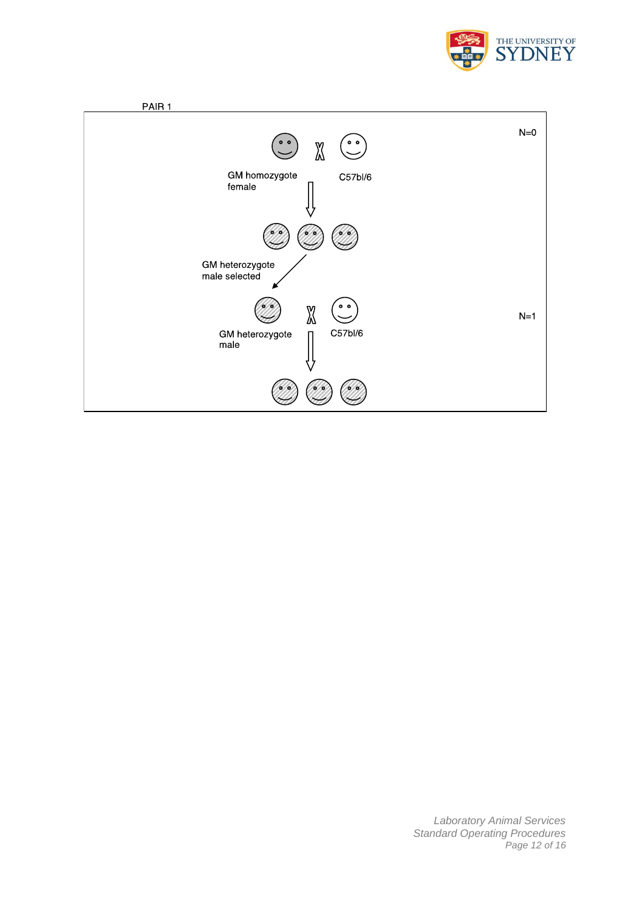



*Laboratory Animal Services Standard Operating Procedures Page 12 of 16*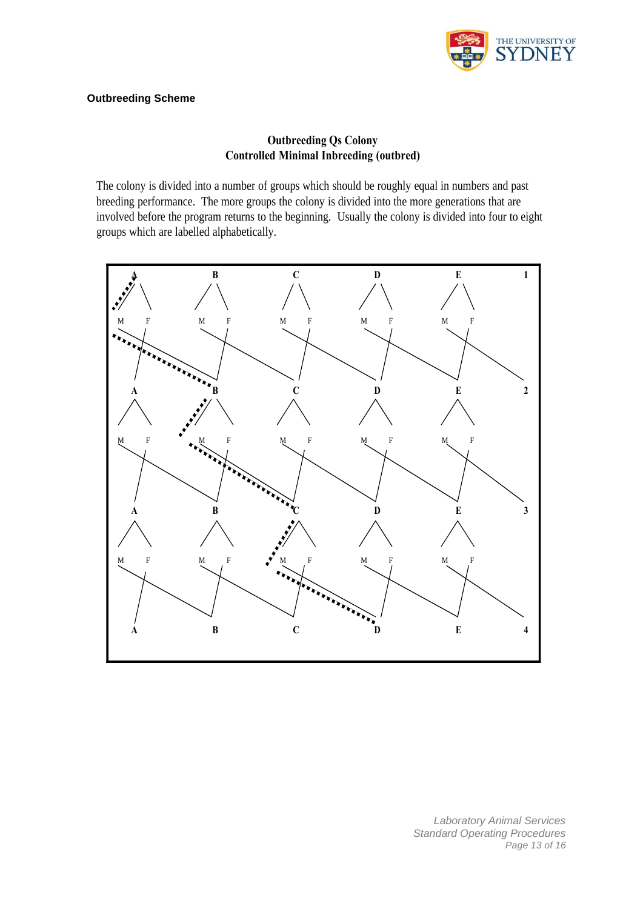

### **Outbreeding Scheme**

### **Outbreeding Qs Colony Controlled Minimal Inbreeding (outbred)**

The colony is divided into a number of groups which should be roughly equal in numbers and past breeding performance. The more groups the colony is divided into the more generations that are involved before the program returns to the beginning. Usually the colony is divided into four to eight groups which are labelled alphabetically.



*Laboratory Animal Services Standard Operating Procedures Page 13 of 16*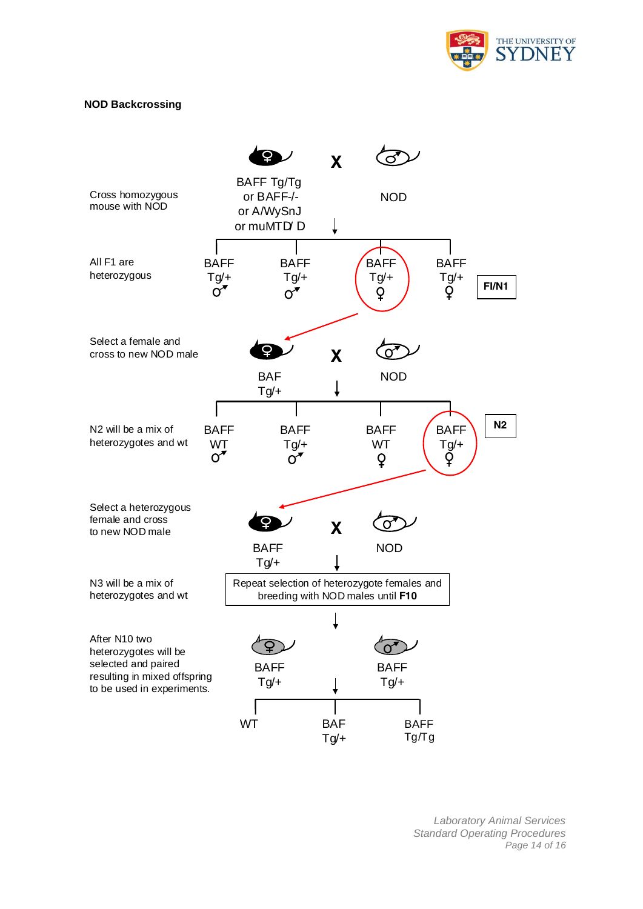

#### **NOD Backcrossing**



*Laboratory Animal Services Standard Operating Procedures Page 14 of 16*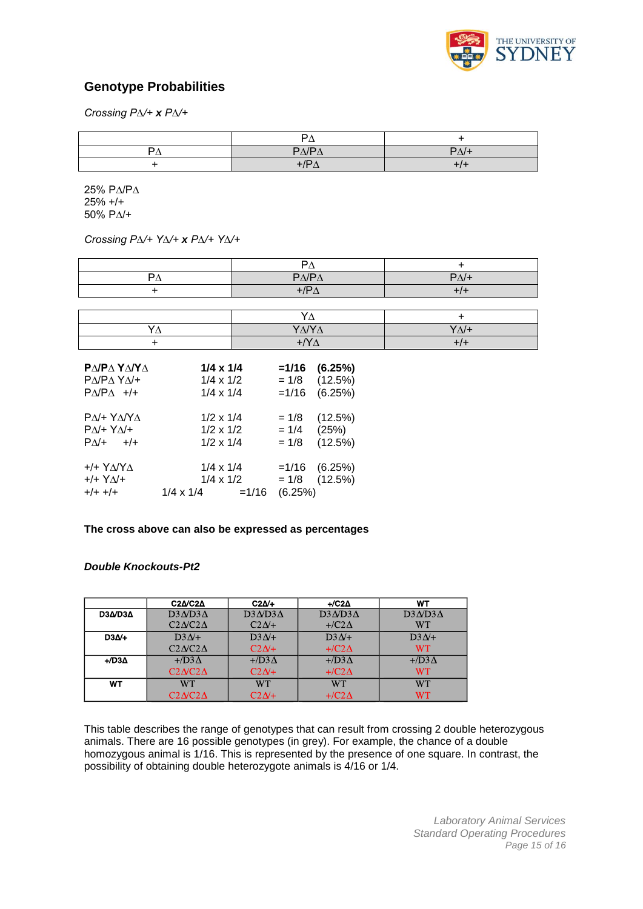

### **Genotype Probabilities**

*Crossing P∆/+ x P∆/+*

|   | -                                 |      |
|---|-----------------------------------|------|
| − | DA/DA<br>$\overline{\phantom{0}}$ | PA/H |
|   | . .                               |      |

25% P∆/P∆ 25% +/+ 50% P∆/+

*Crossing P∆/+ Y∆/+ x P∆/+ Y∆/+*

| _                      |                           |
|------------------------|---------------------------|
| $P\Delta/P\Delta$<br>ے | $P_{\Lambda}/\rightarrow$ |
| $\sqrt{ }$             |                           |

| $\mathbf{v}$ |              |
|--------------|--------------|
| ΥΔ/ΥΔ        | $Y/\sqrt{+}$ |
| ∟ /V         |              |

| ΡΔΙΡΔ ΥΔΙΥΔ                                                   | $1/4 \times 1/4$                                         |         | $=1/16$ | (6.25%)                            |
|---------------------------------------------------------------|----------------------------------------------------------|---------|---------|------------------------------------|
| ΡΔ/ΡΔ ΥΔ/+                                                    | $1/4 \times 1/2$                                         |         | $= 1/8$ | (12.5%)                            |
| $P\Delta/P\Delta$ +/+                                         | $1/4 \times 1/4$                                         |         | $=1/16$ | (6.25%)                            |
| ΡΔ/+ ΥΔ/ΥΔ                                                    | $1/2 \times 1/4$                                         |         | $= 1/8$ | (12.5%)                            |
| $P\Delta$ /+ $Y\Delta$ /+                                     | $1/2 \times 1/2$                                         |         | $= 1/4$ | (25%)                              |
| $P\Delta$ /+ +/+                                              | $1/2 \times 1/4$                                         |         | $= 1/8$ | (12.5%)                            |
| $+$ /+ $Y\Delta$ / $Y\Delta$<br>$+/ Y\Delta/+$<br>$+/+$ $+/+$ | $1/4 \times 1/4$<br>$1/4 \times 1/2$<br>$1/4 \times 1/4$ | $=1/16$ | (6.25%) | $=1/16$ (6.25%)<br>$= 1/8$ (12.5%) |

#### **The cross above can also be expressed as percentages**

#### *Double Knockouts-Pt2*

|                  | $C2\Delta$ / $C2\Delta$ | $C2\Delta/+$     | $+$ /C2 $\Delta$ | WT               |
|------------------|-------------------------|------------------|------------------|------------------|
| D3A/D3A          | $D3AD3\Delta$           | $D3AD3\Delta$    | $D3ND3\Lambda$   | $D3AD3\Delta$    |
|                  | $C2\Delta$              | $C2\Delta$ +     | $+$ /C2 $\Delta$ | WT               |
| $D3\Delta/+$     | $D3N+$                  | $D3\Delta$ /+    | $D3N+$           | $D3\Delta$ /+    |
|                  | $C2\Delta$              | $C2N+$           | $+$ /C2 $\Delta$ | <b>WT</b>        |
| $+$ /D3 $\Delta$ | $+$ /D3 $\Delta$        | $+$ /D3 $\Delta$ | $+$ /D3 $\Delta$ | $+$ /D3 $\Delta$ |
|                  | $C2NC2\Delta$           | $C2\Delta/+$     | $+$ /C2 $\Delta$ | WT               |
| WT               | WТ                      | <b>WT</b>        | <b>WT</b>        | WТ               |
|                  | $C2\Delta$              | $C2N+$           | $+$ /C2 $\Delta$ | WТ               |

This table describes the range of genotypes that can result from crossing 2 double heterozygous animals. There are 16 possible genotypes (in grey). For example, the chance of a double homozygous animal is 1/16. This is represented by the presence of one square. In contrast, the possibility of obtaining double heterozygote animals is 4/16 or 1/4.